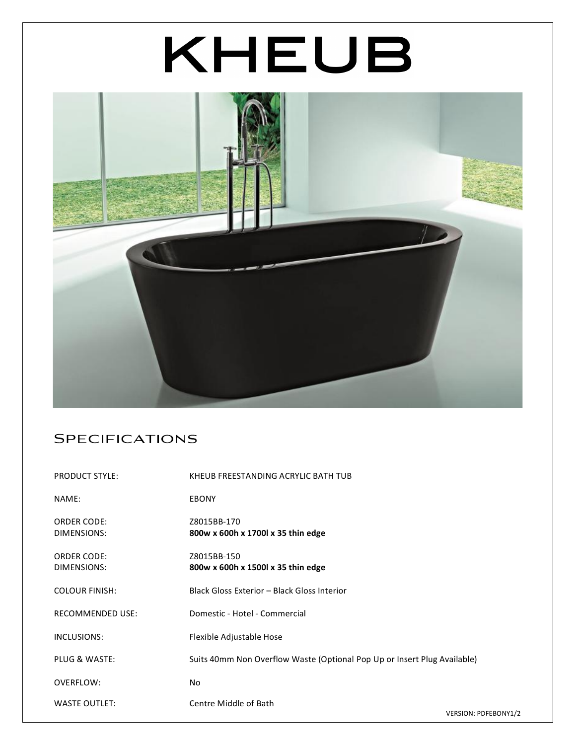# KHEUB



## **SPECIFICATIONS**

| <b>PRODUCT STYLE:</b>             | KHEUB FREESTANDING ACRYLIC BATH TUB                                      |
|-----------------------------------|--------------------------------------------------------------------------|
| NAME:                             | <b>EBONY</b>                                                             |
| <b>ORDER CODE:</b><br>DIMENSIONS: | Z8015BB-170<br>800w x 600h x 1700l x 35 thin edge                        |
| <b>ORDER CODE:</b><br>DIMENSIONS: | Z8015BB-150<br>800w x 600h x 1500l x 35 thin edge                        |
| <b>COLOUR FINISH:</b>             | Black Gloss Exterior - Black Gloss Interior                              |
| <b>RECOMMENDED USE:</b>           | Domestic - Hotel - Commercial                                            |
| INCLUSIONS:                       | Flexible Adjustable Hose                                                 |
| PLUG & WASTE:                     | Suits 40mm Non Overflow Waste (Optional Pop Up or Insert Plug Available) |
| OVERFLOW:                         | No                                                                       |
| <b>WASTE OUTLET:</b>              | Centre Middle of Bath<br>VERSION: PDFEBONY1/2                            |